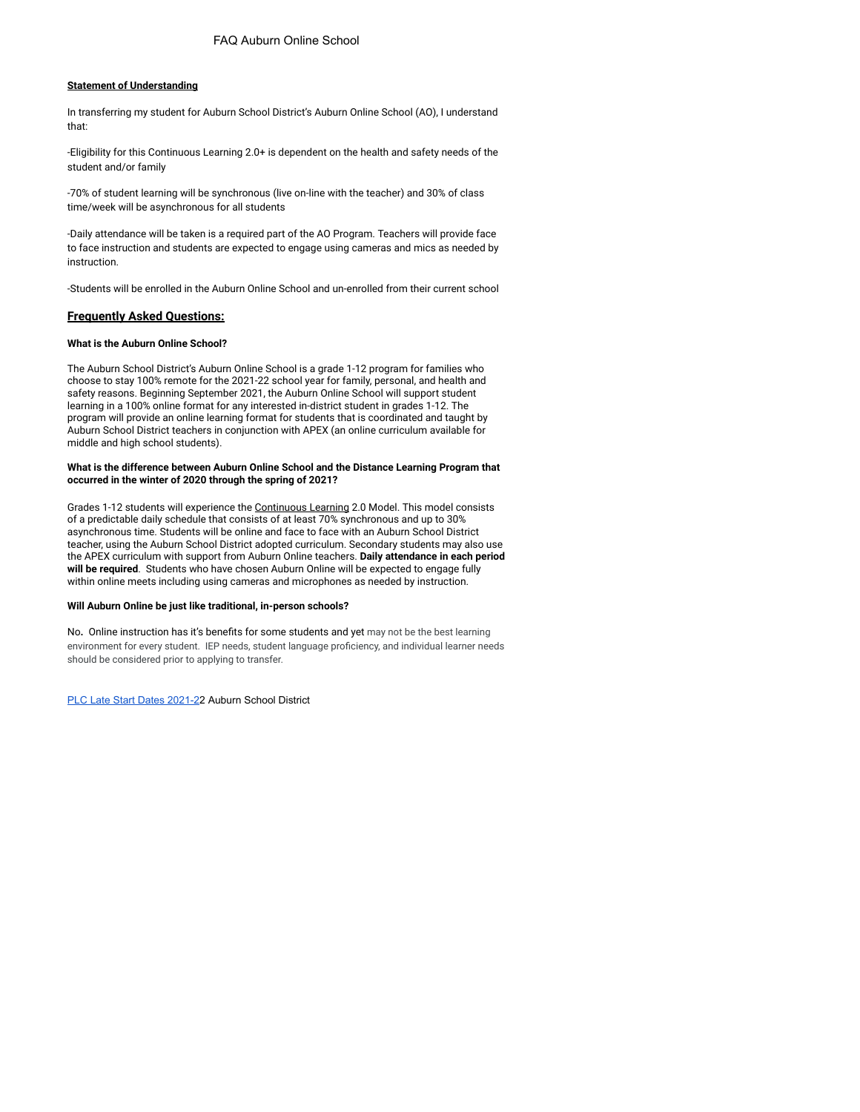## **Statement of Understanding**

In transferring my student for Auburn School District's Auburn Online School (AO), I understand that:

-Eligibility for this Continuous Learning 2.0+ is dependent on the health and safety needs of the student and/or family

-70% of student learning will be synchronous (live on-line with the teacher) and 30% of class time/week will be asynchronous for all students

-Daily attendance will be taken is a required part of the AO Program. Teachers will provide face to face instruction and students are expected to engage using cameras and mics as needed by instruction.

-Students will be enrolled in the Auburn Online School and un-enrolled from their current school

# **Frequently Asked Questions:**

#### **What is the Auburn Online School?**

The Auburn School District's Auburn Online School is a grade 1-12 program for families who choose to stay 100% remote for the 2021-22 school year for family, personal, and health and safety reasons. Beginning September 2021, the Auburn Online School will support student learning in a 100% online format for any interested in-district student in grades 1-12. The program will provide an online learning format for students that is coordinated and taught by Auburn School District teachers in conjunction with APEX (an online curriculum available for middle and high school students).

### **What is the difference between Auburn Online School and the Distance Learning Program that occurred in the winter of 2020 through the spring of 2021?**

Grades 1-12 students will experience the [Continuous](https://www.k12.wa.us/sites/default/files/public/bulletinsmemos/bulletins2021/B034-21.pdf) Learning 2.0 Model. This model consists of a predictable daily schedule that consists of at least 70% synchronous and up to 30% asynchronous time. Students will be online and face to face with an Auburn School District teacher, using the Auburn School District adopted curriculum. Secondary students may also use the APEX curriculum with support from Auburn Online teachers. **Daily attendance in each period will be required**. Students who have chosen Auburn Online will be expected to engage fully within online meets including using cameras and microphones as needed by instruction.

#### **Will Auburn Online be just like traditional, in-person schools?**

No**.** Online instruction has it's benefits for some students and yet may not be the best learning environment for every student. IEP needs, student language proficiency, and individual learner needs should be considered prior to applying to transfer.

PLC Late Start Dates [2021-2](https://www.auburn.wednet.edu/cms/lib/WA01001938/Centricity/Domain/4/2021_22_SchoolCalendar_Final_REV08202021.pdf)2 Auburn School District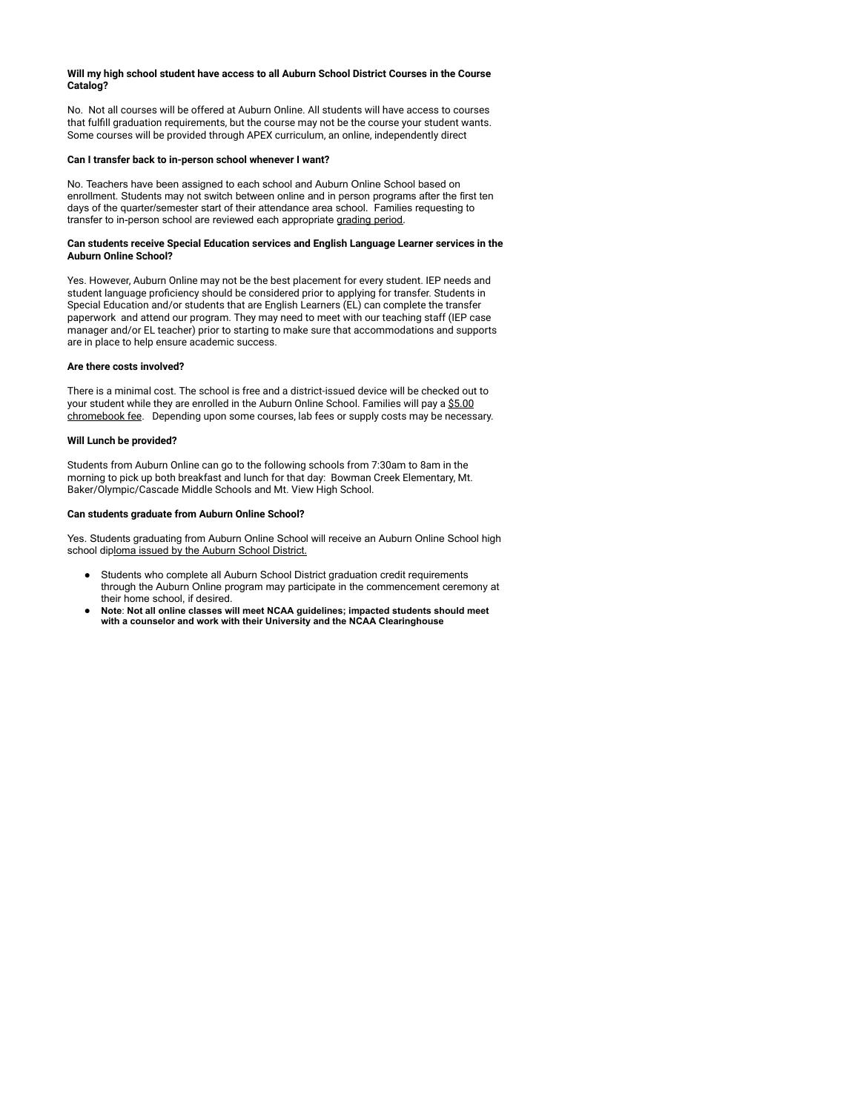### **Will my high school student have access to all Auburn School District Courses in the Course Catalog?**

No. Not all courses will be offered at Auburn Online. All students will have access to courses that fulfill graduation requirements, but the course may not be the course your student wants. Some courses will be provided through APEX curriculum, an online, independently direct

### **Can I transfer back to in-person school whenever I want?**

No. Teachers have been assigned to each school and Auburn Online School based on enrollment. Students may not switch between online and in person programs after the first ten days of the quarter/semester start of their attendance area school. Families requesting to transfer to in-person school are reviewed each appropriate [grading](https://www.auburn.wednet.edu/cms/lib/WA01001938/Centricity/Domain/4/2021_22_SchoolCalendar_Final_REV08202021.pdf) period.

#### **Can students receive Special Education services and English Language Learner services in the Auburn Online School?**

Yes. However, Auburn Online may not be the best placement for every student. IEP needs and student language proficiency should be considered prior to applying for transfer. Students in Special Education and/or students that are English Learners (EL) can complete the transfer paperwork and attend our program. They may need to meet with our teaching staff (IEP case manager and/or EL teacher) prior to starting to make sure that accommodations and supports are in place to help ensure academic success.

### **Are there costs involved?**

There is a minimal cost. The school is free and a district-issued device will be checked out to your student while they are enrolled in the Auburn Online School. Families will pay a [\\$5.00](https://www.auburn.wednet.edu/cms/lib/WA01001938/Centricity/Domain/3747/1-1%20Manual%20-%20English%202021-2022.pdf) [chromebook](https://www.auburn.wednet.edu/cms/lib/WA01001938/Centricity/Domain/3747/1-1%20Manual%20-%20English%202021-2022.pdf) fee. Depending upon some courses, lab fees or supply costs may be necessary.

### **Will Lunch be provided?**

Students from Auburn Online can go to the following schools from 7:30am to 8am in the morning to pick up both breakfast and lunch for that day: Bowman Creek Elementary, Mt. Baker/Olympic/Cascade Middle Schools and Mt. View High School.

#### **Can students graduate from Auburn Online School?**

Yes. Students graduating from Auburn Online School will receive an Auburn Online School high school diploma issued by the Auburn School [District.](https://www.auburn.wednet.edu/domain/5085)

- Students who complete all Auburn School District graduation credit requirements through the Auburn Online program may participate in the commencement ceremony at their home school, if desired.
- **Note**: **Not all online classes will meet NCAA guidelines; impacted students should meet with a counselor and work with their University and the NCAA Clearinghouse**